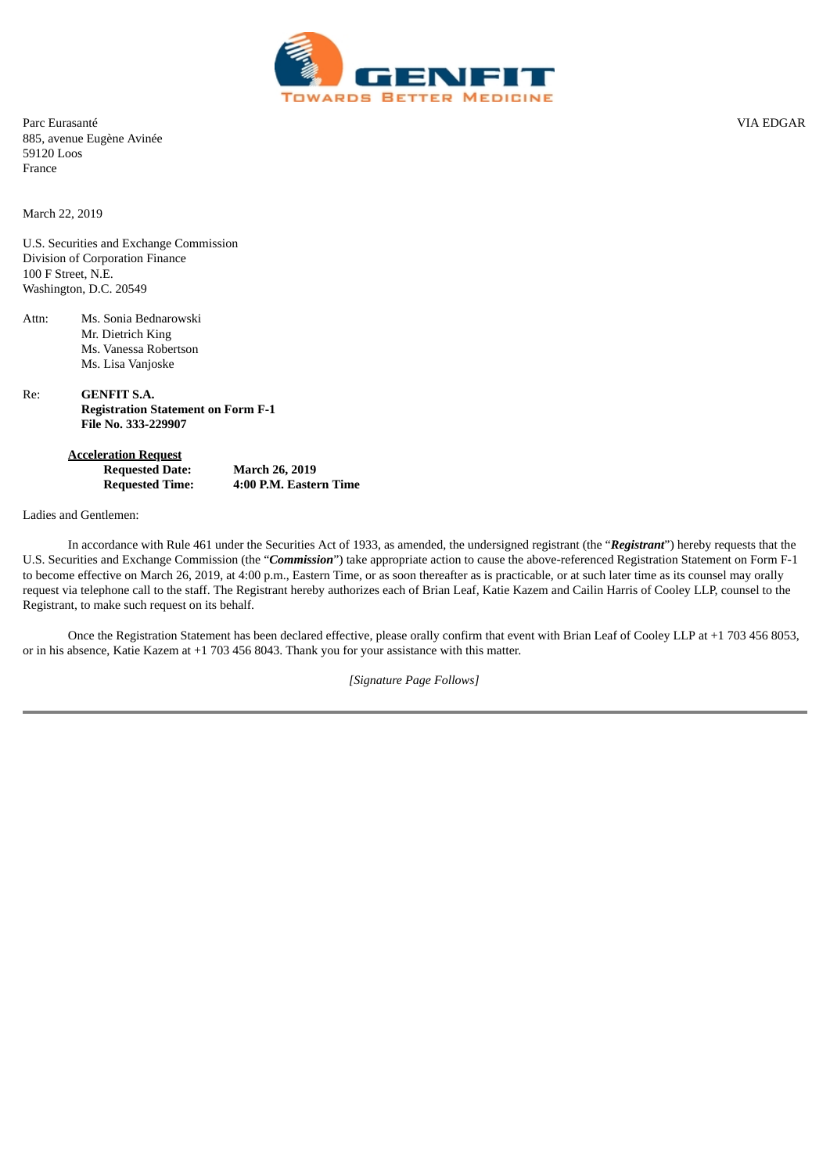

Parc Eurasanté VIA EDGAR 885, avenue Eugène Avinée 59120 Loos France

March 22, 2019

U.S. Securities and Exchange Commission Division of Corporation Finance 100 F Street, N.E. Washington, D.C. 20549

Attn: Ms. Sonia Bednarowski Mr. Dietrich King Ms. Vanessa Robertson Ms. Lisa Vanjoske

Re: **GENFIT S.A. Registration Statement on Form F-1 File No. 333-229907**

> **Acceleration Request Requested Date: March 26, 2019 Requested Time: 4:00 P.M. Eastern Time**

Ladies and Gentlemen:

In accordance with Rule 461 under the Securities Act of 1933, as amended, the undersigned registrant (the "*Registrant*") hereby requests that the U.S. Securities and Exchange Commission (the "*Commission*") take appropriate action to cause the above-referenced Registration Statement on Form F-1 to become effective on March 26, 2019, at 4:00 p.m., Eastern Time, or as soon thereafter as is practicable, or at such later time as its counsel may orally request via telephone call to the staff. The Registrant hereby authorizes each of Brian Leaf, Katie Kazem and Cailin Harris of Cooley LLP, counsel to the Registrant, to make such request on its behalf.

Once the Registration Statement has been declared effective, please orally confirm that event with Brian Leaf of Cooley LLP at +1 703 456 8053, or in his absence, Katie Kazem at +1 703 456 8043. Thank you for your assistance with this matter.

*[Signature Page Follows]*